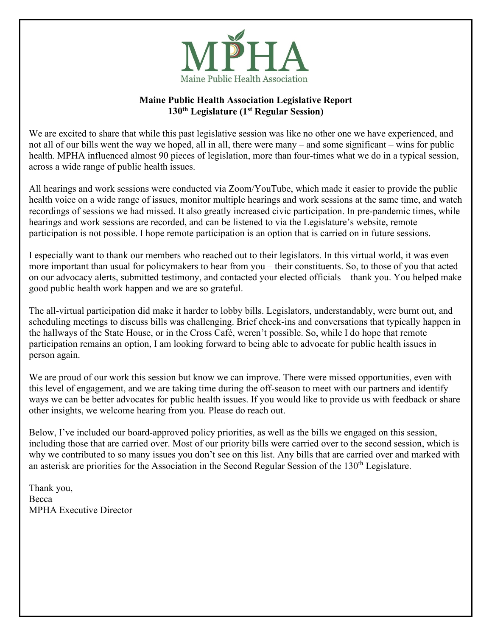

#### **Maine Public Health Association Legislative Report 130th Legislature (1st Regular Session)**

We are excited to share that while this past legislative session was like no other one we have experienced, and not all of our bills went the way we hoped, all in all, there were many – and some significant – wins for public health. MPHA influenced almost 90 pieces of legislation, more than four-times what we do in a typical session, across a wide range of public health issues.

All hearings and work sessions were conducted via Zoom/YouTube, which made it easier to provide the public health voice on a wide range of issues, monitor multiple hearings and work sessions at the same time, and watch recordings of sessions we had missed. It also greatly increased civic participation. In pre-pandemic times, while hearings and work sessions are recorded, and can be listened to via the Legislature's website, remote participation is not possible. I hope remote participation is an option that is carried on in future sessions.

I especially want to thank our members who reached out to their legislators. In this virtual world, it was even more important than usual for policymakers to hear from you – their constituents. So, to those of you that acted on our advocacy alerts, submitted testimony, and contacted your elected officials – thank you. You helped make good public health work happen and we are so grateful.

The all-virtual participation did make it harder to lobby bills. Legislators, understandably, were burnt out, and scheduling meetings to discuss bills was challenging. Brief check-ins and conversations that typically happen in the hallways of the State House, or in the Cross Café, weren't possible. So, while I do hope that remote participation remains an option, I am looking forward to being able to advocate for public health issues in person again.

We are proud of our work this session but know we can improve. There were missed opportunities, even with this level of engagement, and we are taking time during the off-season to meet with our partners and identify ways we can be better advocates for public health issues. If you would like to provide us with feedback or share other insights, we welcome hearing from you. Please do reach out.

Below, I've included our board-approved policy priorities, as well as the bills we engaged on this session, including those that are carried over. Most of our priority bills were carried over to the second session, which is why we contributed to so many issues you don't see on this list. Any bills that are carried over and marked with an asterisk are priorities for the Association in the Second Regular Session of the 130<sup>th</sup> Legislature.

Thank you, Becca MPHA Executive Director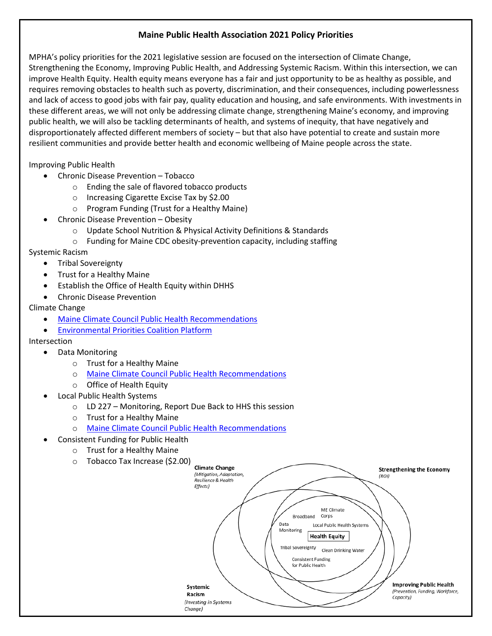#### **Maine Public Health Association 2021 Policy Priorities**

MPHA's policy priorities for the 2021 legislative session are focused on the intersection of Climate Change, Strengthening the Economy, Improving Public Health, and Addressing Systemic Racism. Within this intersection, we can improve Health Equity. Health equity means everyone has a fair and just opportunity to be as healthy as possible, and requires removing obstacles to health such as poverty, discrimination, and their consequences, including powerlessness and lack of access to good jobs with fair pay, quality education and housing, and safe environments. With investments in these different areas, we will not only be addressing climate change, strengthening Maine's economy, and improving public health, we will also be tackling determinants of health, and systems of inequity, that have negatively and disproportionately affected different members of society – but that also have potential to create and sustain more resilient communities and provide better health and economic wellbeing of Maine people across the state.

Improving Public Health

- Chronic Disease Prevention Tobacco
	- o Ending the sale of flavored tobacco products
	- o Increasing Cigarette Excise Tax by \$2.00
	- o Program Funding (Trust for a Healthy Maine)
- Chronic Disease Prevention Obesity
	- o Update School Nutrition & Physical Activity Definitions & Standards
	- $\circ$  Funding for Maine CDC obesity-prevention capacity, including staffing

Systemic Racism

- Tribal Sovereignty
- Trust for a Healthy Maine
- Establish the Office of Health Equity within DHHS
- Chronic Disease Prevention

#### Climate Change

• [Maine Climate Council Public Health Recommendations](https://www.maine.gov/future/initiatives/climate/climate-council)

• [Environmental Priorities Coalition Platform](https://protectmaine.org/epc/priorities/2021)

Intersection

- Data Monitoring
	- o Trust for a Healthy Maine
	- o [Maine Climate Council Public Health Recommendations](https://www.maine.gov/future/initiatives/climate/climate-council)
	- o Office of Health Equity
- Local Public Health Systems
	- o LD 227 Monitoring, Report Due Back to HHS this session
	- o Trust for a Healthy Maine
	- o [Maine Climate Council Public Health Recommendations](https://www.maine.gov/future/initiatives/climate/climate-council)
- Consistent Funding for Public Health
	- o Trust for a Healthy Maine
	- o Tobacco Tax Increase (\$2.00)

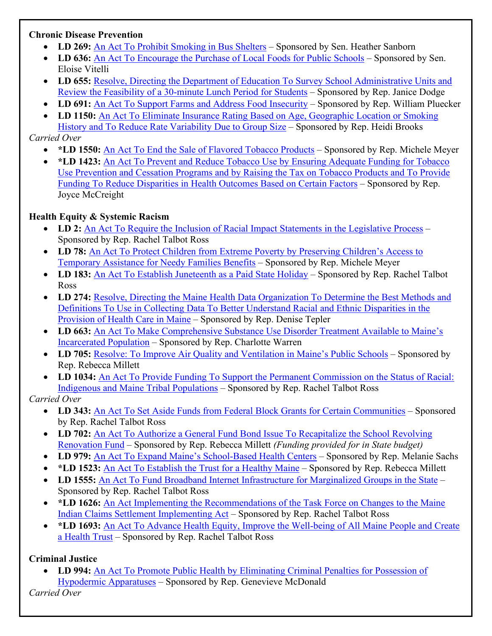#### **Chronic Disease Prevention**

- **LD 269:** [An Act To Prohibit Smoking in Bus Shelters](https://legislature.maine.gov/LawMakerWeb/summary.asp?ID=280078381) Sponsored by Sen. Heather Sanborn
- LD 636: [An Act To Encourage the Purchase of Local Foods for Public Schools](https://legislature.maine.gov/LawMakerWeb/summary.asp?ID=280079088) Sponsored by Sen. Eloise Vitelli
- **LD 655:** [Resolve, Directing the Department of Education To Survey School Administrative Units and](https://legislature.maine.gov/LawMakerWeb/summary.asp?ID=280079122)  [Review the Feasibility of a 30-minute Lunch Period for Students](https://legislature.maine.gov/LawMakerWeb/summary.asp?ID=280079122) – Sponsored by Rep. Janice Dodge
- LD 691: [An Act To Support Farms and Address Food Insecurity](https://legislature.maine.gov/LawMakerWeb/summary.asp?ID=280079159) Sponsored by Rep. William Pluecker
- **LD 1150:** [An Act To Eliminate Insurance Rating Based on Age, Geographic Location or Smoking](https://legislature.maine.gov/LawMakerWeb/summary.asp?ID=280079715)  [History and To Reduce Rate Variability Due to Group Size](https://legislature.maine.gov/LawMakerWeb/summary.asp?ID=280079715) – Sponsored by Rep. Heidi Brooks

### *Carried Over*

- **\*LD 1550:** [An Act To End the Sale of Flavored Tobacco Products](https://legislature.maine.gov/LawMakerWeb/summary.asp?ID=280080513) Sponsored by Rep. Michele Meyer
- **\*LD 1423:** [An Act To Prevent and Reduce Tobacco Use by Ensuring Adequate Funding for Tobacco](https://legislature.maine.gov/LawMakerWeb/summary.asp?ID=280080306)  [Use Prevention and Cessation Programs and by Raising the Tax on Tobacco Products and To Provide](https://legislature.maine.gov/LawMakerWeb/summary.asp?ID=280080306)  [Funding To Reduce Disparities in Health Outcomes Based on Certain Factors](https://legislature.maine.gov/LawMakerWeb/summary.asp?ID=280080306) – Sponsored by Rep. Joyce McCreight

### **Health Equity & Systemic Racism**

- **LD 2:** [An Act To Require the Inclusion of Racial Impact Statements in the Legislative Process](https://legislature.maine.gov/LawMakerWeb/summary.asp?ID=280077978) Sponsored by Rep. Rachel Talbot Ross
- **LD 78:** An Act To Protect Children from Extreme Poverty by Preserving Children's Access to [Temporary Assistance for Needy Families Benefits](https://legislature.maine.gov/LawMakerWeb/summary.asp?ID=280078027) – Sponsored by Rep. Michele Meyer
- LD 183: [An Act To Establish Juneteenth as a Paid State Holiday](https://legislature.maine.gov/LawMakerWeb/summary.asp?ID=280078197) Sponsored by Rep. Rachel Talbot Ross
- **LD 274:** [Resolve, Directing the Maine Health Data Organization To Determine the Best Methods and](https://legislature.maine.gov/LawMakerWeb/summary.asp?ID=280078392)  Definitions To Use in Collecting Data [To Better Understand Racial and Ethnic Disparities in the](https://legislature.maine.gov/LawMakerWeb/summary.asp?ID=280078392)  [Provision of Health Care in Maine](https://legislature.maine.gov/LawMakerWeb/summary.asp?ID=280078392) – Sponsored by Rep. Denise Tepler
- **LD 663:** An Act To Make Comprehensive Substance [Use Disorder Treatment Available to Maine's](https://legislature.maine.gov/LawMakerWeb/summary.asp?ID=280079118)  [Incarcerated Population](https://legislature.maine.gov/LawMakerWeb/summary.asp?ID=280079118) – Sponsored by Rep. Charlotte Warren
- LD 705: [Resolve: To Improve Air Quality and Ventilation in Maine's Public Schools](https://legislature.maine.gov/LawMakerWeb/summary.asp?ID=280079171) Sponsored by Rep. Rebecca Millett
- **LD 1034:** [An Act To Provide Funding To Support the Permanent Commission on the Status of Racial:](https://legislature.maine.gov/LawMakerWeb/summary.asp?ID=280079503)  [Indigenous and Maine Tribal Populations](https://legislature.maine.gov/LawMakerWeb/summary.asp?ID=280079503) – Sponsored by Rep. Rachel Talbot Ross

#### *Carried Over*

- **LD 343:** [An Act To Set Aside Funds from Federal Block Grants for Certain Communities](https://legislature.maine.gov/LawMakerWeb/summary.asp?ID=280078552) Sponsored by Rep. Rachel Talbot Ross
- LD 702: An Act To Authorize a General Fund Bond Issue To Recapitalize the School Revolving [Renovation Fund](https://legislature.maine.gov/LawMakerWeb/summary.asp?ID=280079177) – Sponsored by Rep. Rebecca Millett *(Funding provided for in State budget)*
- **LD 979:** [An Act To Expand Maine's School-Based Health Centers](https://legislature.maine.gov/LawMakerWeb/summary.asp?ID=280079441) Sponsored by Rep. Melanie Sachs
- **\*LD 1523:** [An Act To Establish the Trust for a Healthy Maine](https://legislature.maine.gov/LawMakerWeb/summary.asp?ID=280080461) Sponsored by Rep. Rebecca Millett
- **LD 1555:** [An Act To Fund Broadband Internet Infrastructure for Marginalized Groups in the State](https://legislature.maine.gov/LawMakerWeb/summary.asp?ID=280080521) Sponsored by Rep. Rachel Talbot Ross
- \*LD 1626: An Act Implementing the Recommendations of the Task Force on Changes to the Maine [Indian Claims Settlement Implementing Act](https://legislature.maine.gov/LawMakerWeb/summary.asp?ID=280080665) – Sponsored by Rep. Rachel Talbot Ross
- **\*LD 1693:** [An Act To Advance Health Equity, Improve the Well-being of All Maine People and Create](https://legislature.maine.gov/LawMakerWeb/summary.asp?ID=280080791)  [a Health Trust](https://legislature.maine.gov/LawMakerWeb/summary.asp?ID=280080791) – Sponsored by Rep. Rachel Talbot Ross

# **Criminal Justice**

• **LD 994:** [An Act To Promote Public Health by Eliminating Criminal Penalties for Possession of](https://legislature.maine.gov/LawMakerWeb/summary.asp?ID=280079461)  [Hypodermic Apparatuses](https://legislature.maine.gov/LawMakerWeb/summary.asp?ID=280079461) – Sponsored by Rep. Genevieve McDonald

*Carried Over*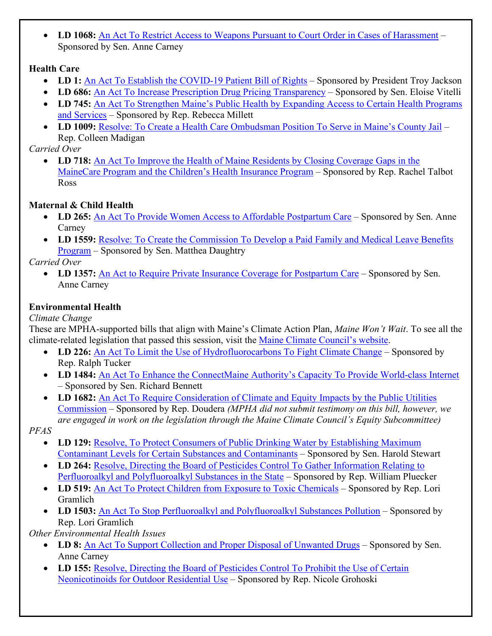• **LD 1068:** [An Act To Restrict Access to Weapons Pursuant to Court Order in Cases of Harassment](https://legislature.maine.gov/LawMakerWeb/summary.asp?ID=280079533) – Sponsored by Sen. Anne Carney

### **Health Care**

- LD 1: [An Act To Establish the COVID-19 Patient Bill of Rights](https://legislature.maine.gov/LawMakerWeb/summary.asp?ID=280077942) Sponsored by President Troy Jackson
- **LD 686:** [An Act To Increase Prescription Drug Pricing Transparency](https://legislature.maine.gov/LawMakerWeb/summary.asp?ID=280079152) Sponsored by Sen. Eloise Vitelli
- **LD 745:** An Act To Strengthen Maine's Public Health by Expanding Access to Certain Health Programs [and Services](https://legislature.maine.gov/LawMakerWeb/summary.asp?ID=280079214) – Sponsored by Rep. Rebecca Millett
- **LD 1009:** [Resolve: To Create a Health Care Ombudsman Position To Serve in Maine's County Jail](https://legislature.maine.gov/LawMakerWeb/summary.asp?ID=280079485) Rep. Colleen Madigan

# *Carried Over*

• **LD 718:** [An Act To Improve the Health of Maine Residents by Closing Coverage Gaps in the](https://legislature.maine.gov/LawMakerWeb/summary.asp?ID=280079195)  [MaineCare Program and the Children's Health Insurance Program](https://legislature.maine.gov/LawMakerWeb/summary.asp?ID=280079195) – Sponsored by Rep. Rachel Talbot Ross

# **Maternal & Child Health**

- LD 265: [An Act To Provide Women Access to Affordable Postpartum Care](https://legislature.maine.gov/LawMakerWeb/summary.asp?ID=280078375) Sponsored by Sen. Anne Carney
- LD 1559: Resolve: To Create the Commission To Develop a Paid Family and Medical Leave Benefits [Program](https://legislature.maine.gov/LawMakerWeb/summary.asp?ID=280080500) – Sponsored by Sen. Matthea Daughtry

*Carried Over*

• LD 1357: [An Act to Require Private Insurance Coverage for Postpartum Care](https://legislature.maine.gov/LawMakerWeb/summary.asp?ID=280080151) – Sponsored by Sen. Anne Carney

# **Environmental Health**

*Climate Change*

These are MPHA-supported bills that align with Maine's Climate Action Plan, *Maine Won't Wait*. To see all the climate-related legislation that passed this session, visit the [Maine Climate Council's website.](https://www.maine.gov/future/initiatives/climate/climate-council)

- LD 226: [An Act To Limit the Use of Hydrofluorocarbons To Fight Climate Change](https://legislature.maine.gov/LawMakerWeb/summary.asp?ID=280078280) Sponsored by Rep. Ralph Tucker
- **LD 1484:** [An Act To Enhance the ConnectMaine Authority's Capacity To Provide World-class Internet](https://legislature.maine.gov/LawMakerWeb/summary.asp?ID=280080384) – Sponsored by Sen. Richard Bennett
- **LD 1682:** [An Act To Require Consideration of Climate and Equity Impacts by the Public Utilities](https://legislature.maine.gov/LawMakerWeb/summary.asp?ID=280080769)  [Commission](https://legislature.maine.gov/LawMakerWeb/summary.asp?ID=280080769) – Sponsored by Rep. Doudera *(MPHA did not submit testimony on this bill, however, we are engaged in work on the legislation through the Maine Climate Council's Equity Subcommittee)*

*PFAS*

- **LD 129: Resolve, To Protect Consumers of Public Drinking Water by Establishing Maximum** [Contaminant Levels for Certain Substances and Contaminants](https://legislature.maine.gov/LawMakerWeb/summary.asp?ID=280078115) – Sponsored by Sen. Harold Stewart
- **LD 264:** [Resolve, Directing the Board of Pesticides Control To Gather Information Relating to](https://legislature.maine.gov/LawMakerWeb/summary.asp?ID=280078371)  [Perfluoroalkyl and Polyfluoroalkyl Substances in the State](https://legislature.maine.gov/LawMakerWeb/summary.asp?ID=280078371) – Sponsored by Rep. William Pluecker
- LD 519: [An Act To Protect Children from Exposure to Toxic Chemicals](https://legislature.maine.gov/LawMakerWeb/summary.asp?ID=280078835) Sponsored by Rep. Lori Gramlich
- LD 1503: [An Act To Stop Perfluoroalkyl and Polyfluoroalkyl Substances Pollution](https://legislature.maine.gov/LawMakerWeb/summary.asp?ID=280080415) Sponsored by Rep. Lori Gramlich

*Other Environmental Health Issues*

- LD 8: [An Act To Support Collection and Proper Disposal of Unwanted Drugs](https://legislature.maine.gov/LawMakerWeb/summary.asp?ID=280077995) Sponsored by Sen. Anne Carney
- **LD 155:** Resolve, Directing the Board of Pesticides Control To Prohibit the Use of Certain [Neonicotinoids for Outdoor Residential Use](https://legislature.maine.gov/LawMakerWeb/summary.asp?ID=280078133) – Sponsored by Rep. Nicole Grohoski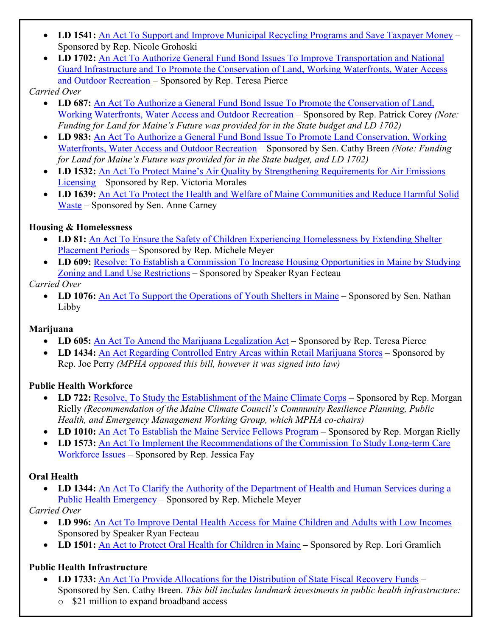- LD 1541: [An Act To Support and Improve Municipal Recycling Programs and Save Taxpayer Money](https://legislature.maine.gov/LawMakerWeb/summary.asp?ID=280080518) Sponsored by Rep. Nicole Grohoski
- **LD 1702:** [An Act To Authorize General Fund Bond Issues To Improve Transportation and National](https://legislature.maine.gov/LawMakerWeb/summary.asp?ID=280080854)  [Guard Infrastructure and To Promote the Conservation of Land, Working Waterfronts, Water Access](https://legislature.maine.gov/LawMakerWeb/summary.asp?ID=280080854)  [and Outdoor Recreation](https://legislature.maine.gov/LawMakerWeb/summary.asp?ID=280080854) – Sponsored by Rep. Teresa Pierce

### *Carried Over*

- LD 687: An Act To Authorize a General Fund Bond Issue To Promote the Conservation of Land, [Working Waterfronts, Water Access and Outdoor Recreation](https://legislature.maine.gov/LawMakerWeb/summary.asp?ID=280079153) – Sponsored by Rep. Patrick Corey *(Note: Funding for Land for Maine's Future was provided for in the State budget and LD 1702)*
- **LD 983:** [An Act To Authorize a General Fund Bond Issue To Promote Land Conservation, Working](https://legislature.maine.gov/LawMakerWeb/summary.asp?ID=280079431)  [Waterfronts, Water Access and Outdoor Recreation](https://legislature.maine.gov/LawMakerWeb/summary.asp?ID=280079431) – Sponsored by Sen. Cathy Breen *(Note: Funding for Land for Maine's Future was provided for in the State budget, and LD 1702)*
- **LD 1532:** [An Act To Protect Maine's Air Quality by Strengthening Requirements for Air Emissions](https://legislature.maine.gov/LawMakerWeb/summary.asp?ID=280080470)  [Licensing](https://legislature.maine.gov/LawMakerWeb/summary.asp?ID=280080470) – Sponsored by Rep. Victoria Morales
- **LD 1639:** [An Act To Protect the Health and Welfare of Maine Communities and Reduce Harmful Solid](https://legislature.maine.gov/LawMakerWeb/summary.asp?ID=280080698)  [Waste](https://legislature.maine.gov/LawMakerWeb/summary.asp?ID=280080698) – Sponsored by Sen. Anne Carney

### **Housing & Homelessness**

- **LD 81:** An Act To Ensure the Safety of Children Experiencing Homelessness by Extending Shelter [Placement Periods](https://legislature.maine.gov/LawMakerWeb/summary.asp?ID=280078030) – Sponsored by Rep. Michele Meyer
- LD 609: Resolve: To Establish a Commission To Increase Housing Opportunities in Maine by Studying [Zoning and Land Use Restrictions](https://legislature.maine.gov/LawMakerWeb/summary.asp?ID=280079043) – Sponsored by Speaker Ryan Fecteau

### *Carried Over*

• LD 1076: [An Act To Support the Operations of Youth Shelters in Maine](https://legislature.maine.gov/LawMakerWeb/summary.asp?ID=280079553) – Sponsored by Sen. Nathan Libby

# **Marijuana**

- LD 605: [An Act To Amend the Marijuana Legalization Act](https://legislature.maine.gov/LawMakerWeb/summary.asp?ID=280079034) Sponsored by Rep. Teresa Pierce
- LD 1434: [An Act Regarding Controlled Entry Areas within Retail Marijuana Stores](https://legislature.maine.gov/LawMakerWeb/summary.asp?ID=280080322) Sponsored by Rep. Joe Perry *(MPHA opposed this bill, however it was signed into law)*

# **Public Health Workforce**

- **LD 722:** [Resolve, To Study the Establishment of the Maine Climate Corps](https://legislature.maine.gov/LawMakerWeb/summary.asp?ID=280079204) Sponsored by Rep. Morgan Rielly *(Recommendation of the Maine Climate Council's Community Resilience Planning, Public Health, and Emergency Management Working Group, which MPHA co-chairs)*
- LD 1010: [An Act To Establish the Maine Service Fellows Program](https://legislature.maine.gov/LawMakerWeb/summary.asp?ID=280079487) Sponsored by Rep. Morgan Rielly
- **LD 1573:** [An Act To Implement the Recommendations of the Commission To Study Long-term Care](https://legislature.maine.gov/LawMakerWeb/summary.asp?ID=280080601)  [Workforce Issues](https://legislature.maine.gov/LawMakerWeb/summary.asp?ID=280080601) – Sponsored by Rep. Jessica Fay

# **Oral Health**

• LD 1344: An Act To Clarify the Authority of the Department of Health and Human Services during a [Public Health Emergency](https://legislature.maine.gov/LawMakerWeb/summary.asp?ID=280080086) – Sponsored by Rep. Michele Meyer

# *Carried Over*

- **LD 996:** [An Act To Improve Dental Health Access for Maine Children and Adults with Low Incomes](https://legislature.maine.gov/LawMakerWeb/summary.asp?ID=280079463) Sponsored by Speaker Ryan Fecteau
- **LD 1501:** [An Act to Protect Oral Health for Children in Maine](https://legislature.maine.gov/LawMakerWeb/summary.asp?ID=280080413) **–** Sponsored by Rep. Lori Gramlich

# **Public Health Infrastructure**

- **LD 1733:** [An Act To Provide Allocations for the Distribution of State Fiscal Recovery Funds](https://legislature.maine.gov/LawMakerWeb/summary.asp?ID=280081198) Sponsored by Sen. Cathy Breen. *This bill includes landmark investments in public health infrastructure:*
	- o \$21 million to expand broadband access